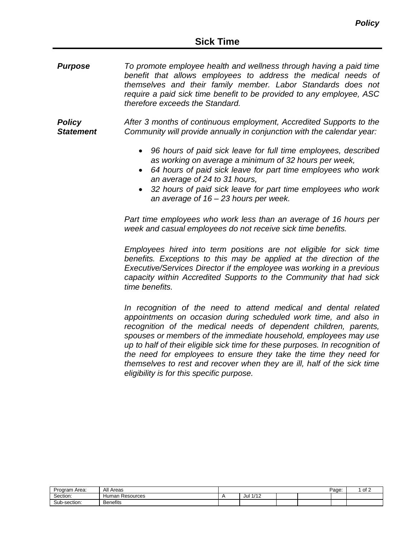*Purpose To promote employee health and wellness through having a paid time benefit that allows employees to address the medical needs of themselves and their family member. Labor Standards does not require a paid sick time benefit to be provided to any employee, ASC therefore exceeds the Standard.*

*Policy Statement After 3 months of continuous employment, Accredited Supports to the Community will provide annually in conjunction with the calendar year:*

- *96 hours of paid sick leave for full time employees, described as working on average a minimum of 32 hours per week,*
- *64 hours of paid sick leave for part time employees who work an average of 24 to 31 hours,*
- *32 hours of paid sick leave for part time employees who work an average of 16 – 23 hours per week.*

*Part time employees who work less than an average of 16 hours per week and casual employees do not receive sick time benefits.*

*Employees hired into term positions are not eligible for sick time benefits. Exceptions to this may be applied at the direction of the Executive/Services Director if the employee was working in a previous capacity within Accredited Supports to the Community that had sick time benefits.*

*In recognition of the need to attend medical and dental related appointments on occasion during scheduled work time, and also in recognition of the medical needs of dependent children, parents, spouses or members of the immediate household, employees may use up to half of their eligible sick time for these purposes. In recognition of the need for employees to ensure they take the time they need for themselves to rest and recover when they are ill, half of the sick time eligibility is for this specific purpose.*

| Program Area: | All<br>Areas       |                      |  | Page: | ∩f ∩<br>יש |
|---------------|--------------------|----------------------|--|-------|------------|
| Section:      | Human<br>Resources | 1/1<br>Jul<br>17 I Z |  |       |            |
| Sub-section:  | <b>Benefits</b>    |                      |  |       |            |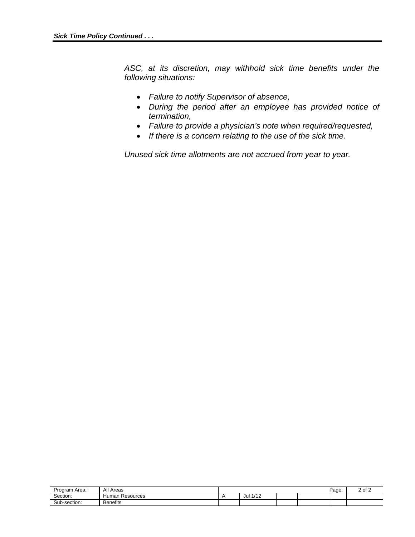*ASC, at its discretion, may withhold sick time benefits under the following situations:*

- *Failure to notify Supervisor of absence,*
- *During the period after an employee has provided notice of termination,*
- *Failure to provide a physician's note when required/requested,*
- *If there is a concern relating to the use of the sick time.*

*Unused sick time allotments are not accrued from year to year.*

| -<br>Program Area: | All<br>Areas       |             |  | Page: | $\sim$<br>∩t<br>2 UI 2 |
|--------------------|--------------------|-------------|--|-------|------------------------|
| Section:           | Human<br>Resources | 4140<br>Jul |  |       |                        |
| Sub-<br>:h-section | <b>Benefits</b>    |             |  |       |                        |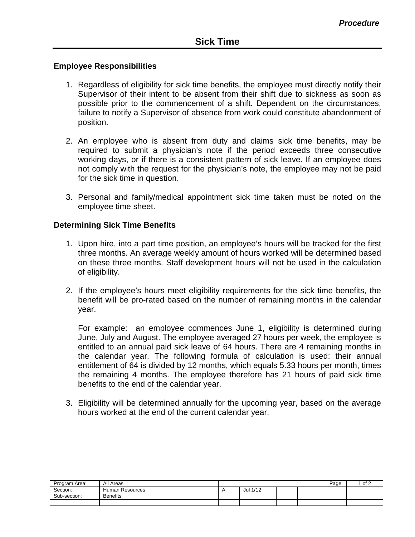## **Employee Responsibilities**

- 1. Regardless of eligibility for sick time benefits, the employee must directly notify their Supervisor of their intent to be absent from their shift due to sickness as soon as possible prior to the commencement of a shift. Dependent on the circumstances, failure to notify a Supervisor of absence from work could constitute abandonment of position.
- 2. An employee who is absent from duty and claims sick time benefits, may be required to submit a physician's note if the period exceeds three consecutive working days, or if there is a consistent pattern of sick leave. If an employee does not comply with the request for the physician's note, the employee may not be paid for the sick time in question.
- 3. Personal and family/medical appointment sick time taken must be noted on the employee time sheet.

## **Determining Sick Time Benefits**

- 1. Upon hire, into a part time position, an employee's hours will be tracked for the first three months. An average weekly amount of hours worked will be determined based on these three months. Staff development hours will not be used in the calculation of eligibility.
- 2. If the employee's hours meet eligibility requirements for the sick time benefits, the benefit will be pro-rated based on the number of remaining months in the calendar year.

For example: an employee commences June 1, eligibility is determined during June, July and August. The employee averaged 27 hours per week, the employee is entitled to an annual paid sick leave of 64 hours. There are 4 remaining months in the calendar year. The following formula of calculation is used: their annual entitlement of 64 is divided by 12 months, which equals 5.33 hours per month, times the remaining 4 months. The employee therefore has 21 hours of paid sick time benefits to the end of the calendar year.

3. Eligibility will be determined annually for the upcoming year, based on the average hours worked at the end of the current calendar year.

| Program Area: | All Areas       |          |  | Page: | of 2 |
|---------------|-----------------|----------|--|-------|------|
| Section:      | Human Resources | Jul 1/12 |  |       |      |
| Sub-section:  | <b>Benefits</b> |          |  |       |      |
|               |                 |          |  |       |      |